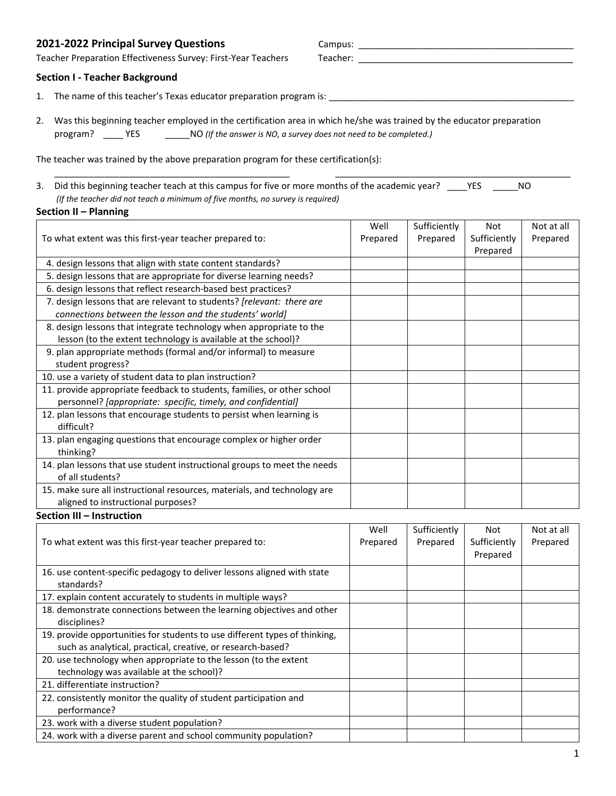# 2021-2022 Principal Survey Questions **Campus:** 2021-2022 Principal Survey Questions

 Teacher Preparation Effectiveness Survey: First-Year Teachers Teacher: \_\_\_\_\_\_\_\_\_\_\_\_\_\_\_\_\_\_\_\_\_\_\_\_\_\_\_\_\_\_\_\_\_\_\_\_\_\_\_ Teacher Preparation Effectiveness Survey: First-Year Teachers

#### **Section I - Teacher Background**

- 1. The name of this teacher's Texas educator preparation program is: \_\_\_\_\_\_\_\_\_\_\_\_\_\_\_\_\_\_\_\_\_\_\_\_\_\_\_\_\_\_\_\_\_\_\_\_\_\_\_\_\_\_\_\_\_\_\_\_\_
- 2. Was this beginning teacher employed in the certification area in which he/she was trained by the educator preparation program? \_\_\_\_\_ YES program? \_\_\_\_ YES \_\_\_\_\_NO *(If the answer is NO, a survey does not need to be completed.)*

The teacher was trained by the above preparation program for these certification(s):

3. Did this beginning teacher teach at this campus for five or more months of the academic year? \_\_\_\_YES \_\_\_\_\_NO *(If the teacher did not teach a minimum of five months, no survey is required)* 

 $\Box$ 

## **Section II – Planning**

| To what extent was this first-year teacher prepared to:                                                                                 | Well<br>Prepared | Sufficiently<br>Prepared | Not<br>Sufficiently<br>Prepared | Not at all<br>Prepared |
|-----------------------------------------------------------------------------------------------------------------------------------------|------------------|--------------------------|---------------------------------|------------------------|
| 4. design lessons that align with state content standards?                                                                              |                  |                          |                                 |                        |
| 5. design lessons that are appropriate for diverse learning needs?                                                                      |                  |                          |                                 |                        |
| 6. design lessons that reflect research-based best practices?                                                                           |                  |                          |                                 |                        |
| 7. design lessons that are relevant to students? [relevant: there are                                                                   |                  |                          |                                 |                        |
| connections between the lesson and the students' world]                                                                                 |                  |                          |                                 |                        |
| 8. design lessons that integrate technology when appropriate to the                                                                     |                  |                          |                                 |                        |
| lesson (to the extent technology is available at the school)?                                                                           |                  |                          |                                 |                        |
| 9. plan appropriate methods (formal and/or informal) to measure                                                                         |                  |                          |                                 |                        |
| student progress?                                                                                                                       |                  |                          |                                 |                        |
| 10. use a variety of student data to plan instruction?                                                                                  |                  |                          |                                 |                        |
| 11. provide appropriate feedback to students, families, or other school<br>personnel? [appropriate: specific, timely, and confidential] |                  |                          |                                 |                        |
| 12. plan lessons that encourage students to persist when learning is<br>difficult?                                                      |                  |                          |                                 |                        |
| 13. plan engaging questions that encourage complex or higher order<br>thinking?                                                         |                  |                          |                                 |                        |
| 14. plan lessons that use student instructional groups to meet the needs<br>of all students?                                            |                  |                          |                                 |                        |
| 15. make sure all instructional resources, materials, and technology are<br>aligned to instructional purposes?                          |                  |                          |                                 |                        |

#### **Section III – Instruction**

| To what extent was this first-year teacher prepared to:                                                                                   | Well<br>Prepared | Sufficiently<br>Prepared | Not<br>Sufficiently<br>Prepared | Not at all<br>Prepared |
|-------------------------------------------------------------------------------------------------------------------------------------------|------------------|--------------------------|---------------------------------|------------------------|
| 16. use content-specific pedagogy to deliver lessons aligned with state<br>standards?                                                     |                  |                          |                                 |                        |
| 17. explain content accurately to students in multiple ways?                                                                              |                  |                          |                                 |                        |
| 18. demonstrate connections between the learning objectives and other<br>disciplines?                                                     |                  |                          |                                 |                        |
| 19. provide opportunities for students to use different types of thinking,<br>such as analytical, practical, creative, or research-based? |                  |                          |                                 |                        |
| 20. use technology when appropriate to the lesson (to the extent<br>technology was available at the school)?                              |                  |                          |                                 |                        |
| 21. differentiate instruction?                                                                                                            |                  |                          |                                 |                        |
| 22. consistently monitor the quality of student participation and<br>performance?                                                         |                  |                          |                                 |                        |
| 23. work with a diverse student population?                                                                                               |                  |                          |                                 |                        |
| 24. work with a diverse parent and school community population?                                                                           |                  |                          |                                 |                        |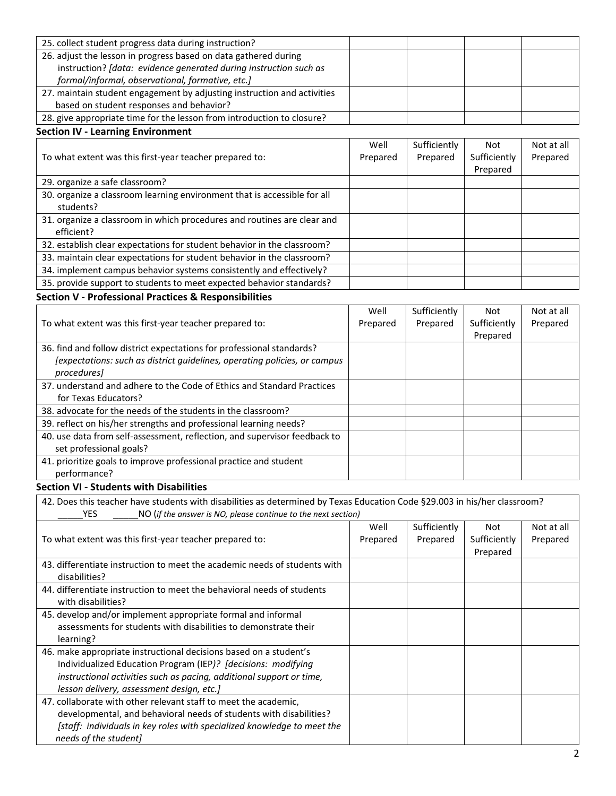| 25. collect student progress data during instruction?                   |  |  |  |
|-------------------------------------------------------------------------|--|--|--|
| 26. adjust the lesson in progress based on data gathered during         |  |  |  |
| instruction? [data: evidence generated during instruction such as       |  |  |  |
| formal/informal, observational, formative, etc.]                        |  |  |  |
| 27. maintain student engagement by adjusting instruction and activities |  |  |  |
| based on student responses and behavior?                                |  |  |  |
| 28. give appropriate time for the lesson from introduction to closure?  |  |  |  |

# **Section IV - Learning Environment**

|                                                                          | Well     | Sufficiently | Not          | Not at all |
|--------------------------------------------------------------------------|----------|--------------|--------------|------------|
| To what extent was this first-year teacher prepared to:                  | Prepared | Prepared     | Sufficiently | Prepared   |
|                                                                          |          |              | Prepared     |            |
| 29. organize a safe classroom?                                           |          |              |              |            |
| 30. organize a classroom learning environment that is accessible for all |          |              |              |            |
| students?                                                                |          |              |              |            |
| 31. organize a classroom in which procedures and routines are clear and  |          |              |              |            |
| efficient?                                                               |          |              |              |            |
| 32. establish clear expectations for student behavior in the classroom?  |          |              |              |            |
| 33. maintain clear expectations for student behavior in the classroom?   |          |              |              |            |
| 34. implement campus behavior systems consistently and effectively?      |          |              |              |            |
| 35. provide support to students to meet expected behavior standards?     |          |              |              |            |
| <b>Section V - Professional Practices &amp; Responsibilities</b>         |          |              |              |            |

#### 36. find and follow district expectations for professional standards? 37. understand and adhere to the Code of Ethics and Standard Practices 38. advocate for the needs of the students in the classroom? 39. reflect on his/her strengths and professional learning needs? 40. use data from self-assessment, reflection, and supervisor feedback to 41. prioritize goals to improve professional practice and student To what extent was this first-year teacher prepared to: Well Prepared Sufficiently Prepared Not Sufficiently Prepared Not at all Prepared *[expectations: such as district guidelines, operating policies, or campus procedures]*  for Texas Educators? set professional goals? performance?

# **Section VI - Students with Disabilities**

| 42. Does this teacher have students with disabilities as determined by Texas Education Code §29.003 in his/her classroom? |          |              |              |            |
|---------------------------------------------------------------------------------------------------------------------------|----------|--------------|--------------|------------|
| NO (if the answer is NO, please continue to the next section)<br>YES.                                                     |          |              |              |            |
|                                                                                                                           | Well     | Sufficiently | Not          | Not at all |
| To what extent was this first-year teacher prepared to:                                                                   | Prepared | Prepared     | Sufficiently | Prepared   |
|                                                                                                                           |          |              | Prepared     |            |
| 43. differentiate instruction to meet the academic needs of students with<br>disabilities?                                |          |              |              |            |
| 44. differentiate instruction to meet the behavioral needs of students                                                    |          |              |              |            |
| with disabilities?                                                                                                        |          |              |              |            |
| 45. develop and/or implement appropriate formal and informal                                                              |          |              |              |            |
| assessments for students with disabilities to demonstrate their                                                           |          |              |              |            |
| learning?                                                                                                                 |          |              |              |            |
| 46. make appropriate instructional decisions based on a student's                                                         |          |              |              |            |
| Individualized Education Program (IEP)? [decisions: modifying                                                             |          |              |              |            |
| instructional activities such as pacing, additional support or time,                                                      |          |              |              |            |
| lesson delivery, assessment design, etc.]                                                                                 |          |              |              |            |
| 47. collaborate with other relevant staff to meet the academic.                                                           |          |              |              |            |
| developmental, and behavioral needs of students with disabilities?                                                        |          |              |              |            |
| [staff: individuals in key roles with specialized knowledge to meet the                                                   |          |              |              |            |
| needs of the student]                                                                                                     |          |              |              |            |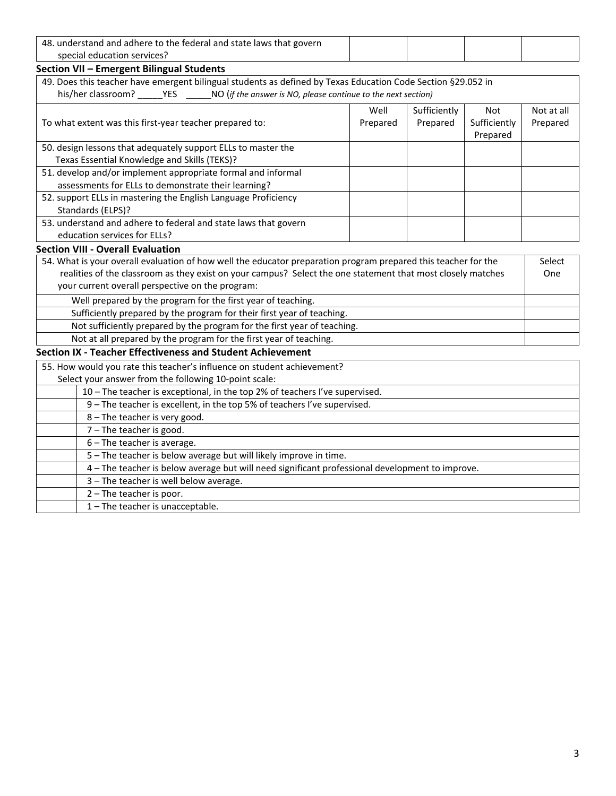| 48. understand and adhere to the federal and state laws that govern                                            |      |              |                          |            |
|----------------------------------------------------------------------------------------------------------------|------|--------------|--------------------------|------------|
| special education services?                                                                                    |      |              |                          |            |
| Section VII - Emergent Bilingual Students                                                                      |      |              |                          |            |
| 49. Does this teacher have emergent bilingual students as defined by Texas Education Code Section §29.052 in   |      |              |                          |            |
| his/her classroom? _______YES ________NO (if the answer is NO, please continue to the next section)            |      |              |                          |            |
|                                                                                                                | Well | Sufficiently | Not                      | Not at all |
| To what extent was this first-year teacher prepared to:<br>Prepared                                            |      | Prepared     | Sufficiently<br>Prepared | Prepared   |
| 50. design lessons that adequately support ELLs to master the                                                  |      |              |                          |            |
| Texas Essential Knowledge and Skills (TEKS)?                                                                   |      |              |                          |            |
| 51. develop and/or implement appropriate formal and informal                                                   |      |              |                          |            |
| assessments for ELLs to demonstrate their learning?                                                            |      |              |                          |            |
| 52. support ELLs in mastering the English Language Proficiency                                                 |      |              |                          |            |
| Standards (ELPS)?                                                                                              |      |              |                          |            |
| 53. understand and adhere to federal and state laws that govern                                                |      |              |                          |            |
| education services for ELLs?                                                                                   |      |              |                          |            |
| <b>Section VIII - Overall Evaluation</b>                                                                       |      |              |                          |            |
| 54. What is your overall evaluation of how well the educator preparation program prepared this teacher for the |      |              | Select                   |            |
| realities of the classroom as they exist on your campus? Select the one statement that most closely matches    |      |              | One                      |            |
| your current overall perspective on the program:                                                               |      |              |                          |            |
| Well prepared by the program for the first year of teaching.                                                   |      |              |                          |            |
| Sufficiently prepared by the program for their first year of teaching.                                         |      |              |                          |            |
| Not sufficiently prepared by the program for the first year of teaching.                                       |      |              |                          |            |
| Not at all prepared by the program for the first year of teaching.                                             |      |              |                          |            |
| <b>Section IX - Teacher Effectiveness and Student Achievement</b>                                              |      |              |                          |            |
| 55. How would you rate this teacher's influence on student achievement?                                        |      |              |                          |            |
| Select your answer from the following 10-point scale:                                                          |      |              |                          |            |
| 10 - The teacher is exceptional, in the top 2% of teachers I've supervised.                                    |      |              |                          |            |
| 9 - The teacher is excellent, in the top 5% of teachers I've supervised.                                       |      |              |                          |            |
| 8 - The teacher is very good.                                                                                  |      |              |                          |            |
| 7 - The teacher is good.                                                                                       |      |              |                          |            |
| 6 - The teacher is average.                                                                                    |      |              |                          |            |
| 5 - The teacher is below average but will likely improve in time.                                              |      |              |                          |            |
| 4 - The teacher is below average but will need significant professional development to improve.                |      |              |                          |            |
| 3 - The teacher is well below average.                                                                         |      |              |                          |            |
| 2 - The teacher is poor.                                                                                       |      |              |                          |            |
| 1 - The teacher is unacceptable.                                                                               |      |              |                          |            |